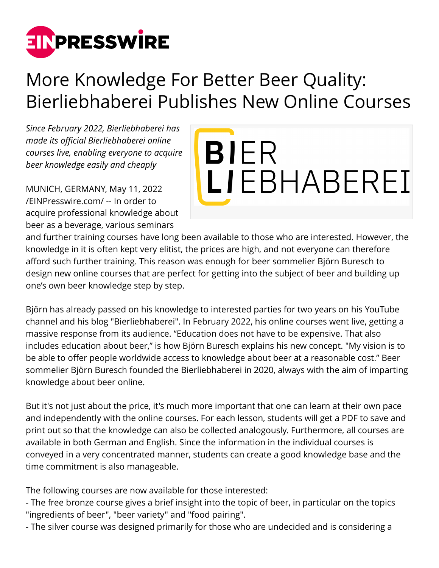

## More Knowledge For Better Beer Quality: Bierliebhaberei Publishes New Online Courses

*Since February 2022, Bierliebhaberei has made its official Bierliebhaberei online courses live, enabling everyone to acquire beer knowledge easily and cheaply*

MUNICH, GERMANY, May 11, 2022 [/EINPresswire.com/](http://www.einpresswire.com) -- In order to acquire professional knowledge about beer as a beverage, various seminars



and further training courses have long been available to those who are interested. However, the knowledge in it is often kept very elitist, the prices are high, and not everyone can therefore afford such further training. This reason was enough for beer sommelier Björn Buresch to design new online courses that are perfect for getting into the subject of beer and building up one's own beer knowledge step by step.

Björn has already passed on his knowledge to interested parties for two years on his YouTube channel and his blog "Bierliebhaberei". In February 2022, his online courses went live, getting a massive response from its audience. "Education does not have to be expensive. That also includes education about beer," is how Björn Buresch explains his new concept. "My vision is to be able to offer people worldwide access to knowledge about beer at a reasonable cost." Beer sommelier Björn Buresch founded the Bierliebhaberei in 2020, always with the aim of imparting knowledge about beer online.

But it's not just about the price, it's much more important that one can learn at their own pace and independently with the online courses. For each lesson, students will get a PDF to save and print out so that the knowledge can also be collected analogously. Furthermore, all courses are available in both German and English. Since the information in the individual courses is conveyed in a very concentrated manner, students can create a good knowledge base and the time commitment is also manageable.

The following courses are now available for those interested:

- The free bronze course gives a brief insight into the topic of beer, in particular on the topics "ingredients of beer", "beer variety" and "food pairing".
- The silver course was designed primarily for those who are undecided and is considering a